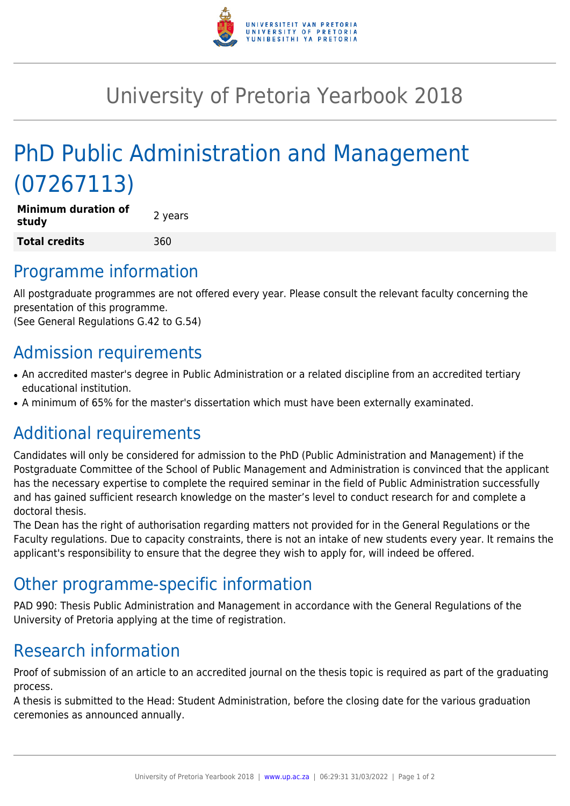

## University of Pretoria Yearbook 2018

# PhD Public Administration and Management (07267113)

| <b>Minimum duration of</b><br>study | 2 years |
|-------------------------------------|---------|
| <b>Total credits</b>                | 360     |

#### Programme information

All postgraduate programmes are not offered every year. Please consult the relevant faculty concerning the presentation of this programme.

(See General Regulations G.42 to G.54)

### Admission requirements

- An accredited master's degree in Public Administration or a related discipline from an accredited tertiary educational institution.
- A minimum of 65% for the master's dissertation which must have been externally examinated.

#### Additional requirements

Candidates will only be considered for admission to the PhD (Public Administration and Management) if the Postgraduate Committee of the School of Public Management and Administration is convinced that the applicant has the necessary expertise to complete the required seminar in the field of Public Administration successfully and has gained sufficient research knowledge on the master's level to conduct research for and complete a doctoral thesis.

The Dean has the right of authorisation regarding matters not provided for in the General Regulations or the Faculty regulations. Due to capacity constraints, there is not an intake of new students every year. It remains the applicant's responsibility to ensure that the degree they wish to apply for, will indeed be offered.

#### Other programme-specific information

PAD 990: Thesis Public Administration and Management in accordance with the General Regulations of the University of Pretoria applying at the time of registration.

### Research information

Proof of submission of an article to an accredited journal on the thesis topic is required as part of the graduating process.

A thesis is submitted to the Head: Student Administration, before the closing date for the various graduation ceremonies as announced annually.